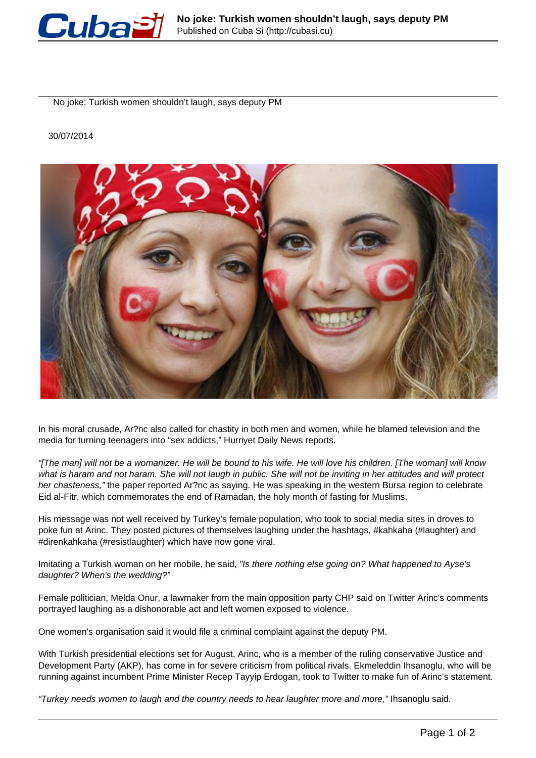

No joke: Turkish women shouldn't laugh, says deputy PM

## 30/07/2014



In his moral crusade, Ar?nc also called for chastity in both men and women, while he blamed television and the media for turning teenagers into "sex addicts," Hurriyet Daily News reports.

"[The man] will not be a womanizer. He will be bound to his wife. He will love his children. [The woman] will know what is haram and not haram. She will not laugh in public. She will not be inviting in her attitudes and will protect her chasteness," the paper reported Ar?nc as saying. He was speaking in the western Bursa region to celebrate Eid al-Fitr, which commemorates the end of Ramadan, the holy month of fasting for Muslims.

His message was not well received by Turkey's female population, who took to social media sites in droves to poke fun at Arinc. They posted pictures of themselves laughing under the hashtags, #kahkaha (#laughter) and #direnkahkaha (#resistlaughter) which have now gone viral.

Imitating a Turkish woman on her mobile, he said, "Is there nothing else going on? What happened to Ayse's daughter? When's the wedding?"

Female politician, Melda Onur, a lawmaker from the main opposition party CHP said on Twitter Arinc's comments portrayed laughing as a dishonorable act and left women exposed to violence.

One women's organisation said it would file a criminal complaint against the deputy PM.

With Turkish presidential elections set for August, Arinc, who is a member of the ruling conservative Justice and Development Party (AKP), has come in for severe criticism from political rivals. Ekmeleddin Ihsanoglu, who will be running against incumbent Prime Minister Recep Tayyip Erdogan, took to Twitter to make fun of Arinc's statement.

"Turkey needs women to laugh and the country needs to hear laughter more and more," Ihsanoglu said.